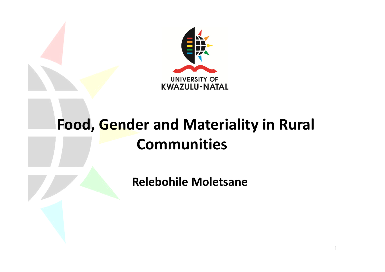

#### **Food, Gender and Materiality in Rural Communities**

**Relebohile Moletsane**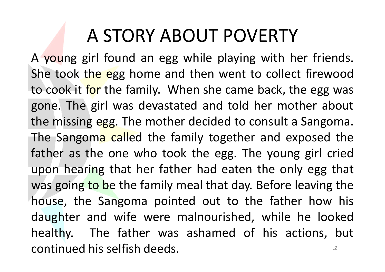# A STORY ABOUT POVERTY

<sup>A</sup> young girl found an egg while playing with her friends. She took the egg home and then went to collect firewood to cook it f<mark>or</mark> the family. When she came back, the egg was gone. The girl was devastated and told her mother about the missing egg. The mother decided to consult <sup>a</sup> Sangoma. The Sangoma called the family together and exposed the father as the one who took the egg. The young girl cried upon hearing that her father had eaten the only egg that was going to be the family meal that day. Before leaving the house, the Sangoma pointed out to the father how his<br>And the control of the state of the late of the late of the late daughter and wife were malnourished, while he looked healthy. The father was ashamed of his actions, but continued his selfish deeds. The continued his selfish deeds.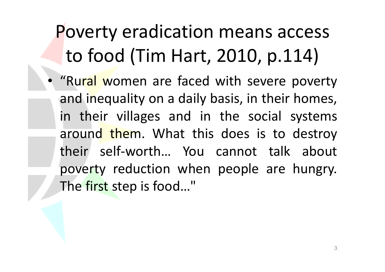# Poverty eradication means access to food (Tim Hart, 2010, p.114)

• "Rural women are faced with severe poverty and inequality on a daily basis, in their homes, in their villages and in the social systems around them. What this does is to destroy their self-worth… You cannot talk about poverty reduction when people are hungry. The fi<mark>rst</mark> step is food…"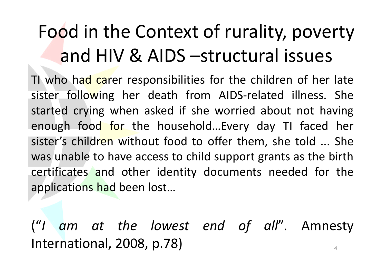# Food in the Context of rurality, poverty and HIV & AIDS –structural issues

TI who ha<mark>d c</mark>arer responsibilities for the children of her late sister following her death from AIDS-related illness. She<br>started envise where seked if she werried about not boying started crying when asked if she worried about not having enough food for the household...Every day TI faced her sister's child<mark>ren</mark> without food to offer them, she told ... She was unable to have access to child support grants as the birth certificates and other identity documents needed for the applications had been lost…

("*<sup>I</sup> am at the lowest end of all* "*.* AmnestyInternational, 2008, p.78) 4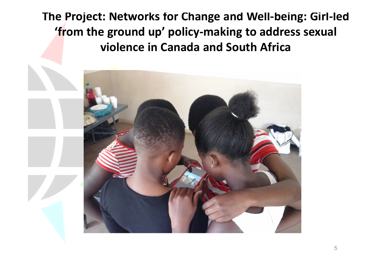**The Project: Networks for Change and Well-being: Girl-led 'from the ground up' policy-making to address sexual violence in Canada and South Africa**

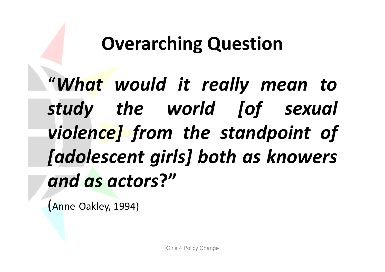# **Overarching Question**

"*What would it really mean to study the world [of sexual violence] from the standpoint of [adolescent girls] both as knowers and as actors***?"**

(Anne Oakley, 1994)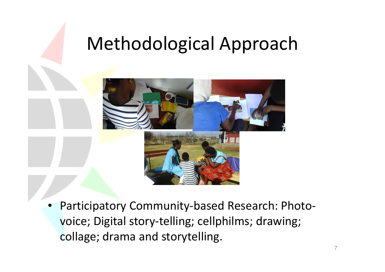## Methodological Approach



• Participatory Community-based Research: Photovoice; Digital story-telling; cellphilms; drawing; collage; drama and storytelling.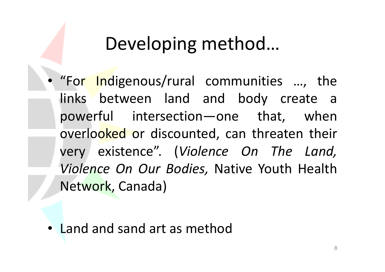## Developing method…

• "For Indigenous/rural communities …, the links between land and body create <sup>a</sup> powerful intersection—one that, whenoverlo<mark>oked</mark> or discounted, can threaten their very existence". (*Violence On The Land, Violence On Our Bodies,* Native Youth Health Network, Canada)

• Land and sand art as method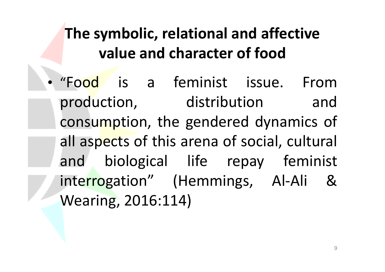### **The symbolic, relational and affective value and character of food**

•"Fo<mark>od</mark> is a feminist issue. From production, distribution and consumption, the gendered dynamics of all aspects of this arena of social, cultural and biological life repay feminist interrogation" (Hemmings, Al-Ali &Wearing, 2016:114)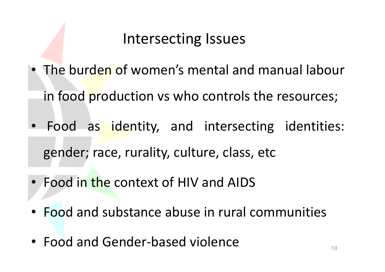#### Intersecting Issues

- The burden of women's mental and manual labour
	- in food production vs who controls the resources;
- Food as identity, and intersecting identities: gender; race, rurality, culture, class, etc
- Food in the context of HIV and AIDS
- Food and substance abuse in rural communities
- Food and Gender-based violence  $\bullet$